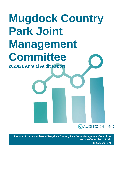# **Mugdock Country Park Joint Management Committee**

**2020/21 Annual Audit Report**

**VAUDITSCOTLAND** 

**Prepared for the Members of Mugdock Country Park Joint Management Committee and the Controller of Audit** 19 October 2021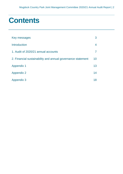### **Contents**

| Key messages                                                | 3  |
|-------------------------------------------------------------|----|
| <b>Introduction</b>                                         | 4  |
| 1. Audit of 2020/21 annual accounts                         | 7  |
| 2. Financial sustainability and annual governance statement | 10 |
| <b>Appendix 1</b>                                           | 13 |
| <b>Appendix 2</b>                                           | 14 |
| <b>Appendix 3</b>                                           | 18 |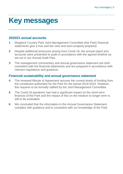## <span id="page-2-0"></span>**Key messages**

### **2020/21 annual accounts**

- **1** Mugdock Country Park Joint Management Committee (the Park) financial statements give a true and fair view and were properly prepared.
- **2** Despite additional pressures arising from Covid-19, the annual report and accounts were presented to audit in accordance with the agreed timeline as set out in our Annual Audit Plan.
- **3** The management commentary and annual governance statement are both consistent with the financial statements and are prepared in accordance with relevant regulations and guidance.

#### **Financial sustainability and annual governance statement**

- **4** The renewed Minute of Agreement secures the current levels of funding from the constituent authorities for the Park for the period 2019-2024. However, this requires to be formally ratified by the Joint Management Committee.
- **5** The Covid-19 pandemic has had a significant impact on the short-term finances of the Park and the impact of this on the medium to longer term is still to be evaluated.
- **6** We concluded that the information in the Annual Governance Statement complies with guidance and is consistent with our knowledge of the Park.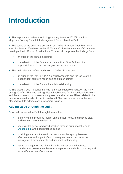### <span id="page-3-0"></span>**Introduction**

**1.** This report summarises the findings arising from the 2020/21 audit of Mugdock Country Park Joint Management Committee (the Park).

**2.** The scope of the audit was set out in our 2020/21 Annual Audit Plan which was circulated to Members on the 18 March 2021 in the absence of Committee meetings due to Covid-19 restrictions. This report comprises the findings from:

- an audit of the annual accounts
- consideration of the financial sustainability of the Park and the appropriateness of the annual governance statement.

**3.** The main elements of our audit work in 2020/21 have been:

- an audit of the Park's 2020/21 annual accounts and the issue of an independent auditor's report setting out our opinion
- consideration of the Park's financial sustainability.

**4.** The global Covid-19 pandemic has had a considerable impact on the Park during 2020/21. This has had significant implications for the services it delivers and the suspension of non-essential projects and activities. Risks related to the pandemic were included in our Annual Audit Plan, and we have adapted our planned work to address any new emerging risks.

#### **Adding value through the audit**

**5.** We add value to the Park through the audit by:

- identifying and providing insight on significant risks, and making clear and relevant recommendations
- sharing intelligence and good practice through our national reports [\(Appendix 3\)](#page-17-0) and good practice guides
- providing clear and focused conclusions on the appropriateness, effectiveness and impact of corporate governance, performance management arrangements and financial sustainability
- taking this together, we aim to help the Park promote improved standards of governance, better management and decision making and more effective use of resources.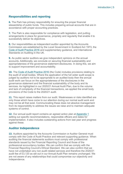#### **Responsibilities and reporting**

**6.** The Park has primary responsibility for ensuring the proper financial stewardship of public funds. This includes preparing annual accounts that are in accordance with proper accounting practices.

**7.** The Park is also responsible for compliance with legislation, and putting arrangements in place for governance, propriety and regularity that enable it to successfully deliver its objectives.

**8.** Our responsibilities as independent auditor appointed by the Accounts Commission are established by the Local Government in Scotland Act 1973, the [Code of Audit Practice 2016](http://www.audit-scotland.gov.uk/report/code-of-audit-practice-2016) and supplementary guidance, and International Standards on Auditing in the UK.

**9.** As public sector auditors we give independent opinions on the annual accounts. Additionally, we conclude on securing financial sustainability and appropriateness of the governance statement disclosures. In doing this, we aim to support improvement and accountability.

**10.** The [Code of Audit Practice 2016](http://www.audit-scotland.gov.uk/report/code-of-audit-practice-2016) (the Code) includes provisions relating to the audit of small bodies. Where the application of the full wider audit scope is judged by auditors not to be appropriate to an audited body then the annual audit work can focus on the appropriateness of the disclosures in the governance statement and the financial sustainability of the body and its services. As highlighted in our 2020/21 Annual Audit Plan, due to the volume and lack of complexity of the financial transactions, we applied the small body provisions of the Code to the 2020/21 audit.

**11.** This report raises matters from our audit. Weaknesses or risks identified are only those which have come to our attention during our normal audit work and may not be all that exist. Communicating these does not absolve management from its responsibility to address the issues we raise and to maintain adequate systems of control.

**12.** Our annual audit report contains an agreed action plan at [Appendix 1](#page-12-0) setting out specific recommendations, responsible officers and dates for implementation. It also includes outstanding actions from last year and progress against these.

#### **Auditor Independence**

**13.** Auditors appointed by the Accounts Commission or Auditor General must comply with the Code of Audit Practice and relevant supporting guidance. When auditing the financial statements auditors must comply with professional standards issued by the Financial Reporting Council and those of the professional accountancy bodies. We can confirm that we comply with the Financial Reporting Council's Ethical Standard. We can also confirm that we have not undertaken any non-audit related services and therefore the 2020/21 audit fee of £3,120 as set out in our Annual Audit Plan remains unchanged. We are not aware of any relationships that could compromise our objectivity and independence.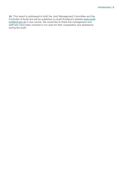**14.** This report is addressed to both the Joint Management Committee and the Controller of Audit and will be published on Audit Scotland's website [www.audit](http://www.audit-scotland.gov.uk/)[scotland.gov.uk](http://www.audit-scotland.gov.uk/) in due course. We would like to thank the management and staff who have been involved in our work for their cooperation and assistance during the audit.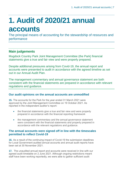## <span id="page-6-0"></span>**1. Audit of 2020/21 annual accounts**

The principal means of accounting for the stewardship of resources and performance

### **Main judgements**

Mugdock Country Park Joint Management Committee (the Park) financial statements give a true and fair view and were properly prepared.

Despite additional pressures arising from Covid-19, the annual report and accounts were presented to audit in accordance with the agreed timeline as set out in our Annual Audit Plan.

The management commentary and annual governance statement are both consistent with the financial statements are prepared in accordance with relevant regulations and guidance.

#### **Our audit opinions on the annual accounts are unmodified**

**15.** The accounts for the Park for the year ended 31 March 2021 were approved by the Joint Management Committee on 19 October 2021. As reported in the independent auditor's report:

- the financial statements give a true and fair view and were properly prepared in accordance with the financial reporting framework
- the management commentary and the annual governance statement were consistent with the financial statements and properly prepared in accordance with the relevant regulations and guidance.

#### **The annual accounts were signed off in line with the timescales permitted to reflect Covid-19**

**16.** As a result of the continuing impact of Covid-19 the submission deadlines for Local Government audited annual accounts and annual audit reports have been set at 30 November 2021.

**17.** The unaudited annual report and accounts were received in line with our agreed audit timetable on 2 June 2021. Although ongoing restrictions meant staff have been working reportedly, we were able to gather sufficient audit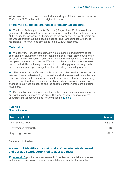evidence on which to draw our conclusions and sign off the annual accounts on 19 October 2021, in line with the original timetable.

#### **There were no objections raised to the annual accounts**

**18.** The Local Authority Accounts (Scotland) Regulations 2014 require local government bodies to publish a public notice on its website that includes details of the period for inspecting and objecting to the accounts. This must remain on the website throughout the inspection period. The Park complied with these regulations. There were no objections to the 2020/21 accounts.

#### **Materiality**

**19.** We apply the concept of materiality in both planning and performing the audit and in evaluating the effect of identified misstatement on the audit and of uncorrected misstatements, if any, on the financial statements and in forming the opinion in the auditor's report. We identify a benchmark on which to base overall materiality, such as gross expenditure, and apply what we judge to be the most appropriate percentage level for calculating materiality values.

**20.** The determination of materiality is based on professional judgement and is informed by our understanding of the entity and what users are likely to be most concerned about in the annual accounts. In assessing performance materiality, we have considered factors such as our findings from previous audits, any changes in business processes and the entity's control environment including fraud risks.

**21.** Our initial assessment of materiality for the annual accounts was carried out during the planning phase of the audit. This was reviewed on receipt of the unaudited annual accounts and is summarised in [Exhibit 1.](#page-7-0)

#### <span id="page-7-0"></span>**Exhibit 1 Materiality values**

| <b>Materiality level</b>   | <b>Amount</b> |
|----------------------------|---------------|
| <b>Overall materiality</b> | £3,638        |
| Performance materiality    | £2,183        |
| Reporting threshold        | £110          |

Source: Audit Scotland

#### **Appendix 2 identifies the main risks of material misstatement and our audit work performed to address these**

**22.** Appendix 2 [provides our assessment of the risks of material misstatement](#page-13-0)  [in the annual accounts and any wider audit dimension risks. These risks](#page-13-0)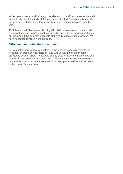[influence our overall audit strategy, the allocation of staff resources to the audit](#page-13-0)  [and indicate how the efforts of the team were directed. The appendix identifies](#page-13-0)  [the work we undertook to address these risks and our conclusions from this](#page-13-0)  [work.](#page-13-0) 

**23.** International Standard on Auditing (UK) 260 requires us to communicate significant findings from the audit to those charged with governance, including our view about the qualitative aspects of the body's accounting practices. We have no issues to report from the audit.

#### **Other matters noted during our audit**

**24.** A number of errors were identified in the working papers relating to the treatment of prepayments, accruals, and VAT as well as an order being processed twice in error. These were valued at £2,476.26 and have since been rectified in the revised annual accounts. Officers should review the year-end procedures to ensure transactions are accurately processed as well as posted to the correct financial year.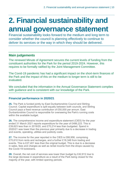## <span id="page-9-0"></span>**2. Financial sustainability and annual governance statement**

Financial sustainability looks forward to the medium and long term to consider whether the council is planning effectively to continue to deliver its services or the way in which they should be delivered.

### **Main judgements**

The renewed Minute of Agreement secures the current levels of funding from the constituent authorities for the Park for the period 2019-2024. However, this requires to be formally ratified by the Joint Management Committee.

The Covid-19 pandemic has had a significant impact on the short-term finances of the Park and the impact of this on the medium to longer term is still to be evaluated.

We concluded that the information in the Annual Governance Statement complies with guidance and is consistent with our knowledge of the Park.

#### **Financial performance in 2020/21**

**25.** The Park is funded jointly by East Dunbartonshire Council and Stirling Council. Capital expenditure is split equally between both councils, and Stirling Council pays a fixed revenue contribution of £50,000 per annum. East Dunbartonshire Council is responsible for overseeing the Park's running costs within the available budget.

**26.** The comprehensive income and expenditure statement (CIES) for the year ended 31 March 2021 reports expenditure for the year of £486,223. This is £39,623 less than in 2019/20, and £70,214 less than budgeted. Spend in 2020/21 was lower than the previous year primarily due to a decrease in trading and events, operating, utilities and publicity costs.

**27.** The income for the year reported in the CIES is £88,958, comprising £70,610 from rents and recharges, and a further £18,348 from trading and events. This is £27,401 less than the original budget. This is due to a decrease in sales, fees and charges as well as rental income from the shops caused by the Covid-19 lockdowns.

**28.** Overall, the net cost of services was lower than budget by £42,812 due to the large decrease in expenditure as a result of the Park being closed for the majority of the year, with limited opening periods.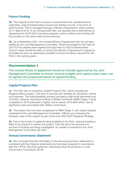#### **Future Funding**

**29.** The majority of the Park's income is received from the constituent local authorities, East Dunbartonshire Council and Stirling Council, in the form of grant funding. This is managed through a Minute of Agreement, which expired on 31 March 2019. In our Annual Audit Plan, we reported that a draft Minute of Agreement for 2019-2024 has been prepared, which confirms that funding will be provided on the same basis as the previous.

<span id="page-10-0"></span>**30.** As at September 2021, the revised Minute of Agreement had not yet been ratified by the Joint Management Committee. Whilst the budget for the Park for 2021/22 has already been agreed and approved by East Dunbartonshire Council, steps should be taken to ensure the Minute of Agreement is signed by all parties as soon as reasonably possible to ensure funding is secured for the Park in the coming years.

#### **Recommendation 1**

The revised Minute of Agreement should be formally approved by the Joint Management Committee to ensure revenue budgets and capital project plans can be agreed and progressed based on agreed funding.

#### **Capital Projects Plan**

**31.** The Park has an ambitious Capital Projects Plan, which includes the Mugdock Barns project. This aims to provide new facilities for education, events and business. The initial feasibility process provided a high-level elemental cost of £442k. However, the Royal Institute of British Architects (RIBA) Stage 1 study completed in 2019 estimated a higher cost to deliver of £0.669 million, due to significant costs associated with utilities connections.

**32.** The project has now been progressed to RIBA Stage 2, with costed designs presented to the Joint Management Committee. Officers are reviewing the business case of this project as part of the new 2022-2027 Mugdock Strategy.

**33.** Due to the levels of capital funding available to the Park, external funding is likely to be required to deliver this project. This has yet to be secured and sources of funding are being investigated. An update is expected to the Joint Management Committee late 2021.

#### **Annual Governance Statement**

**34.** We concluded that the information in the annual governance statement is consistent with the financial statements and has been prepared in accordance with the CIPFA/ SOLACE guidance: *Delivering Good Governance in Local Government Framework (2016).*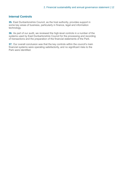#### **Internal Controls**

**35.** East Dunbartonshire Council, as the host authority, provides support in some key areas of business, particularly in finance, legal and information technology.

**36.** As part of our audit, we reviewed the high-level controls in a number of the systems used by East Dunbartonshire Council for the processing and recording of transactions and the preparation of the financial statements of the Park.

**37.** Our overall conclusion was that the key controls within the council's main financial systems were operating satisfactorily, and no significant risks to the Park were identified.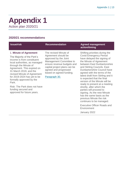parties will proceed to signing. As the new Minute has the same basis as the previous Minute the risk continues to be managed. Executive Officer Roads and

**Environment** 

January 2022

### <span id="page-12-0"></span>**Appendix 1** Action plan 2020/21

#### **2020/21 recommendations**

#### **Issue/risk Commendation Agreed management Recommendation Agreed management action/timing** 1. **Minute of Agreement** The Majority of the Park's income is from constituent local authorities, as managed through the Minute of Agreement. This expired on 31 March 2019, and the revised Minute of Agreement for 2019-2024 has yet to be formally approved by the Park. Risk: The Park does not have The revised Minute of Agreement should be approved by the Joint Management Committee to ensure revenue budgets and capital project plans can be agreed and progressed based on agreed funding. Paragraph [30.](#page-10-0)  Shifting priorities during the Covid Emergency Period have delayed the signing of the Minute of Agreement between East Dunbartonshire and Stirling Councils. East Dunbartonshire Council have agreed with the terms of the latest draft from Stirling and it is expected that the final version of the Minute will be ready to present at a meeting shortly, after which the

funding secured and approved for future years.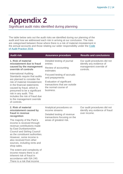## <span id="page-13-0"></span>**Appendix 2**

Significant audit risks identified during planning

The table below sets out the audit risks we identified during our planning of the audit and how we addressed each risk in arriving at our conclusion. The risks are categorised between those where there is a risk of material misstatement in the annual accounts and those relating our wider responsibility under the [Code](http://www.audit-scotland.gov.uk/report/code-of-audit-practice-2016)  [of Audit Practice 2016.](http://www.audit-scotland.gov.uk/report/code-of-audit-practice-2016)

| <b>Audit risk</b>                                                                                                                                                                                                                                                                                                                     | <b>Assurance procedure</b>                                                                      | <b>Results and conclusions</b>                                                                  |
|---------------------------------------------------------------------------------------------------------------------------------------------------------------------------------------------------------------------------------------------------------------------------------------------------------------------------------------|-------------------------------------------------------------------------------------------------|-------------------------------------------------------------------------------------------------|
| 1. Risk of material<br>misstatement due to fraud<br>caused by the management<br>override of controls                                                                                                                                                                                                                                  | Detailed testing of journal<br>entries<br>Review of accounting<br>estimates                     | Our audit procedures did not<br>identify any evidence of<br>management override of<br>controls. |
| <b>International Auditing</b><br>Standards require that audits<br>are planned to consider the<br>risk of material misstatement<br>in the financial statements<br>caused by fraud, which is<br>presumed to be a significant<br>risk in any audit. This<br>includes the risk of fraud due<br>to the management override<br>of controls. | Focused testing of accruals<br>and prepayments                                                  |                                                                                                 |
|                                                                                                                                                                                                                                                                                                                                       | Evaluation of significant<br>transactions that are outside<br>the normal course of<br>business. |                                                                                                 |
| 2. Risk of material<br>misstatement caused by<br>fraud in revenue                                                                                                                                                                                                                                                                     | Analytical procedures on<br>income streams<br>Detailed testing of revenue                       | Our audit procedures did not<br>identify any evidence of fraud<br>over income.                  |
| recognition<br>The majority of the Park's<br>income is received through<br>revenue contributions made<br>by East Dunbartonshire<br><b>Council and Stirling Council</b><br>as the constituent authorities.<br>However, some income is<br>also received from other<br>sources, including rents and<br>shop sales.                       | transactions focusing on the<br>areas of greatest risk.                                         |                                                                                                 |
| The extent and complexity of<br>income means there is an<br>inherent risk of fraud in<br>accordance with ISA 240.<br>There is a risk that income                                                                                                                                                                                      |                                                                                                 |                                                                                                 |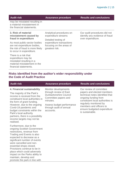| <b>Audit risk</b>                                                                                                               | <b>Assurance procedure</b>                                                                                                                       | <b>Results and conclusions</b>                                 |
|---------------------------------------------------------------------------------------------------------------------------------|--------------------------------------------------------------------------------------------------------------------------------------------------|----------------------------------------------------------------|
| may be misstated resulting in<br>a material misstatement in<br>the financial statements.                                        |                                                                                                                                                  |                                                                |
| 3. Risk of material<br>misstatement caused by                                                                                   | Analytical procedures on<br>expenditure streams<br>Detailed testing of<br>expenditure transactions<br>focusing on the areas of<br>greatest risk. | Our audit procedures did not<br>identify any evidence of fraud |
| fraud in expenditure                                                                                                            |                                                                                                                                                  | over expenditure.                                              |
| As most public-sector bodies<br>are net expenditure bodies,<br>the risk of fraud is more likely<br>to occur in expenditure.     |                                                                                                                                                  |                                                                |
| There is a risk that<br>expenditure may be<br>misstated resulting in a<br>material misstatement in the<br>financial statements. |                                                                                                                                                  |                                                                |

#### **Risks identified from the auditor's wider responsibility under the Code of Audit Practice**

promote the park in line with

| <b>Audit risk</b>                                                                                                                                                                                                                                                                                                                                               | <b>Assurance procedure</b>                                                                                                                                                               | <b>Results and conclusions</b>                                                                                                                                                                                                                              |
|-----------------------------------------------------------------------------------------------------------------------------------------------------------------------------------------------------------------------------------------------------------------------------------------------------------------------------------------------------------------|------------------------------------------------------------------------------------------------------------------------------------------------------------------------------------------|-------------------------------------------------------------------------------------------------------------------------------------------------------------------------------------------------------------------------------------------------------------|
| 4. Financial sustainability<br>The majority of the Park's<br>income is received from the<br>constituent local authorities in<br>the form of grant funding.<br>However, due to the ongoing<br>Covid-19 pandemic and<br>budget constraints within the<br>Park's local authority<br>partners, there is a possibility<br>income targets may not be<br>realised.     | Monitor developments<br>through review of East<br><b>Dunbartonshire Council</b><br>Committee papers and<br>minutes.<br>Assess budget performance<br>through audit of annual<br>accounts. | Our review of committee<br>papers and elected members<br>technical notes identified that<br>ongoing funding from<br>constituent local authorities is<br>regularly monitored by<br>members and officers to<br>ensure budgeted expenditure<br>is sustainable. |
| Furthermore, due to the<br>ongoing Scottish Government<br>restrictions, revenue from<br>Trading and Events is also<br>expected to decrease as a<br>significant number of events<br>were cancelled and non-<br>essential shops closed.<br>Provisions continue to be in<br>place which could adversely<br>impact on the Parks ability to<br>maintain, develop and |                                                                                                                                                                                          |                                                                                                                                                                                                                                                             |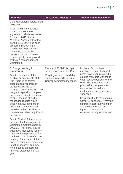**Audit risk Assurance procedure Results and conclusions**

the organisations service plan objectives.

Grant funding is managed through the Minute of Agreement, which expired on 31 March 2019. A draft Minute of Agreement for the period 2019-2024 has been prepared that confirms funding will be provided on the same basis as the previous minute. However, this has yet to be approved by the Joint Management **Committee** 

#### **5. Budget setting & monitoring**

Due to the nature of the funding arrangements of the Park there is no formal budget approval process carried out by the Joint Management Committee. The budgeted spend for the year is communicated to members through the use of budget monitoring reports which does not allow comparison with prior year spend and provides limited detail as to the reasons behind significant variances.

Due to Covid-19, there have been no Joint Management Committee meetings held in 2020/21. Therefore, regular budgetary monitoring reports have not been presented for the Park to facilitate effective scrutiny. There is a risk that budget setting and monitoring is not transparent and may not be based on accurate financial projections for the year.

Review of 2021/22 budget setting process for the Park

Ongoing review of available monitoring reports going to Council committee meetings. In place of committee meetings, regular technical notes have been provided to elected members with the inyear revenue position for the Park. These updates have provided a prior year spend comparison as well as explanations on significant variances.

However, due to the ongoing Covid-19 pandemic, it may be difficult to accurately monitor and project the 2021/22 figures. These will be reviewed throughout the year.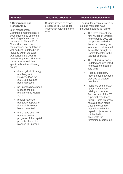#### **6 Governance and Transparency**

Joint Management Committee meetings have been suspended since the beginning of the Covid-19 pandemic in March 2020. Councillors have received regular technical bulletins as well as brief updates being included within the East Dunbartonshire Council committee papers. However, these have lacked detail, specifically in the following areas:

- the Mugdock Strategy and Mugdock Business Plan for 2021-26 have not been approved
- no updates have been made to the risk register since March 2020
- regular revenue budgetary reports for the Park have not been presented
- there have been no updates on the progress of the capital projects plan or the planned IT upgrade.

Ongoing review of reports presented to Council, for information relevant to the Park.

#### **Audit risk Assurance procedure Results and conclusions**

The regular technical notes to elected members have included updates as follows:

- The development of a new Mugdock Strategy for the period 2021-26 has progressed with the work currently out to tender. It is intended this will be brought to Committee later in the year for approval.
- The risk register was updated and circulated to elected members in July 2021
- Regular budgetary reports have now been provided to elected members
- Plans are being drawn up for replacement cabling across the Park as part of the BT superfast broadband rollout. Some progress has also been made since the easing of restrictions with the capital projects and it is intended to accelerate the remaining programme.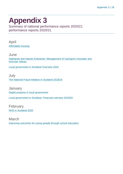## <span id="page-17-0"></span>**Appendix 3**

Summary of national performance reports 2020/21 performance reports 2020/21

April [Affordable housing](https://www.audit-scotland.gov.uk/report/affordable-housing)

June [Highlands and Islands Enterprise: Management of Cairngorm mountain and](https://www.audit-scotland.gov.uk/report/highlands-and-islands-enterprise-management-of-cairngorm-mountain-and-funicular-railway)  [funicular railway](https://www.audit-scotland.gov.uk/report/highlands-and-islands-enterprise-management-of-cairngorm-mountain-and-funicular-railway)

[Local government in Scotland Overview 2020](https://www.audit-scotland.gov.uk/report/local-government-in-scotland-overview-2020)

July [The National Fraud Initiative in Scotland 2018/19](https://www.audit-scotland.gov.uk/report/the-national-fraud-initiative-in-scotland-201819)

**January** [Digital progress in local government](https://www.audit-scotland.gov.uk/report/digital-progress-in-local-government) [Local government in Scotland: Financial overview 2019/20](https://www.audit-scotland.gov.uk/report/local-government-in-scotland-financial-overview-201920)

February [NHS in Scotland 2020](https://www.audit-scotland.gov.uk/report/nhs-in-scotland-2020)

March [Improving outcomes for young people through school education](https://www.audit-scotland.gov.uk/report/improving-outcomes-for-young-people-through-school-education)